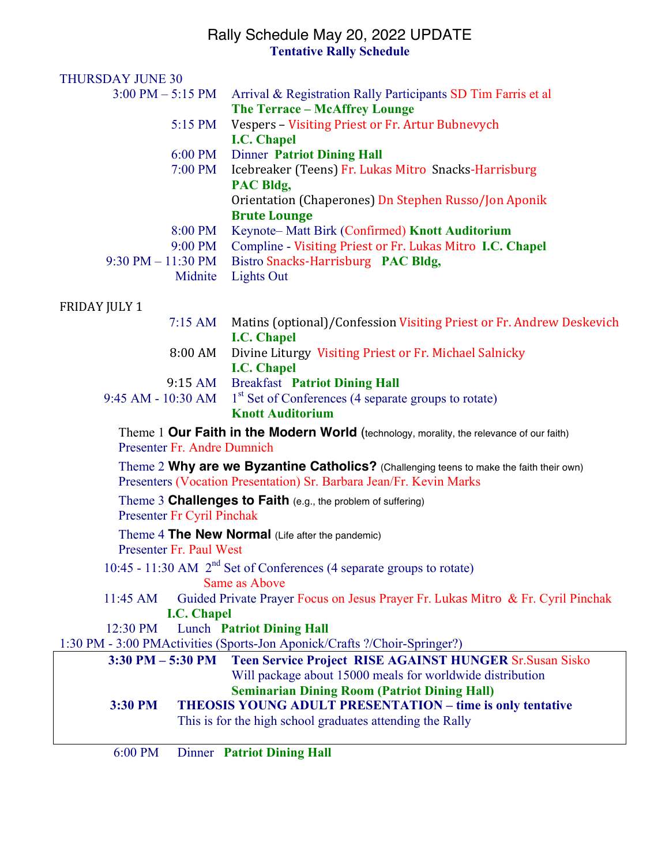#### Rally Schedule May 20, 2022 UPDATE **Tentative Rally Schedule**

| <b>THURSDAY JUNE 30</b>             |                    |                                                                                                               |
|-------------------------------------|--------------------|---------------------------------------------------------------------------------------------------------------|
| $3:00 \text{ PM} - 5:15 \text{ PM}$ |                    | Arrival & Registration Rally Participants SD Tim Farris et al                                                 |
|                                     |                    | <b>The Terrace - McAffrey Lounge</b>                                                                          |
|                                     | 5:15 PM            | Vespers - Visiting Priest or Fr. Artur Bubnevych                                                              |
|                                     |                    | <b>I.C. Chapel</b>                                                                                            |
|                                     | 6:00 PM            | <b>Dinner Patriot Dining Hall</b>                                                                             |
|                                     | 7:00 PM            | Icebreaker (Teens) Fr. Lukas Mitro Snacks-Harrisburg<br>PAC Bldg,                                             |
|                                     |                    | Orientation (Chaperones) Dn Stephen Russo/Jon Aponik                                                          |
|                                     |                    | <b>Brute Lounge</b>                                                                                           |
|                                     | 8:00 PM            | Keynote-Matt Birk (Confirmed) Knott Auditorium                                                                |
|                                     | $9:00 \text{ PM}$  | Compline - Visiting Priest or Fr. Lukas Mitro I.C. Chapel                                                     |
| $9:30$ PM $- 11:30$ PM              |                    | Bistro Snacks-Harrisburg PAC Bldg,                                                                            |
|                                     | Midnite            | <b>Lights Out</b>                                                                                             |
| <b>FRIDAY JULY 1</b>                |                    |                                                                                                               |
|                                     | $7:15 \text{ AM}$  | Matins (optional)/Confession Visiting Priest or Fr. Andrew Deskevich                                          |
|                                     |                    | <b>I.C. Chapel</b>                                                                                            |
|                                     | 8:00 AM            | Divine Liturgy Visiting Priest or Fr. Michael Salnicky                                                        |
|                                     |                    | <b>I.C. Chapel</b>                                                                                            |
|                                     |                    | 9:15 AM Breakfast Patriot Dining Hall                                                                         |
| 9:45 AM - 10:30 AM                  |                    | 1 <sup>st</sup> Set of Conferences (4 separate groups to rotate)<br><b>Knott Auditorium</b>                   |
|                                     |                    |                                                                                                               |
| Presenter Fr. Andre Dumnich         |                    | Theme 1 Our Faith in the Modern World (technology, morality, the relevance of our faith)                      |
|                                     |                    | Theme 2 Why are we Byzantine Catholics? (Challenging teens to make the faith their own)                       |
|                                     |                    | Presenters (Vocation Presentation) Sr. Barbara Jean/Fr. Kevin Marks                                           |
|                                     |                    | Theme 3 Challenges to Faith (e.g., the problem of suffering)                                                  |
| <b>Presenter Fr Cyril Pinchak</b>   |                    |                                                                                                               |
|                                     |                    | Theme 4 The New Normal (Life after the pandemic)                                                              |
| Presenter Fr. Paul West             |                    |                                                                                                               |
|                                     |                    | 10:45 - 11:30 AM 2 <sup>nd</sup> Set of Conferences (4 separate groups to rotate)                             |
|                                     |                    | Same as Above                                                                                                 |
| $11:45$ AM                          |                    | Guided Private Prayer Focus on Jesus Prayer Fr. Lukas Mitro & Fr. Cyril Pinchak                               |
|                                     | <b>I.C. Chapel</b> |                                                                                                               |
| 12:30 PM                            |                    | <b>Lunch Patriot Dining Hall</b><br>1:30 PM - 3:00 PMActivities (Sports-Jon Aponick/Crafts ?/Choir-Springer?) |
| $3:30$ PM $-5:30$ PM                |                    | Teen Service Project RISE AGAINST HUNGER Sr. Susan Sisko                                                      |
|                                     |                    | Will package about 15000 meals for worldwide distribution                                                     |
|                                     |                    | <b>Seminarian Dining Room (Patriot Dining Hall)</b>                                                           |
| 3:30 PM                             |                    | <b>THEOSIS YOUNG ADULT PRESENTATION - time is only tentative</b>                                              |
|                                     |                    | This is for the high school graduates attending the Rally                                                     |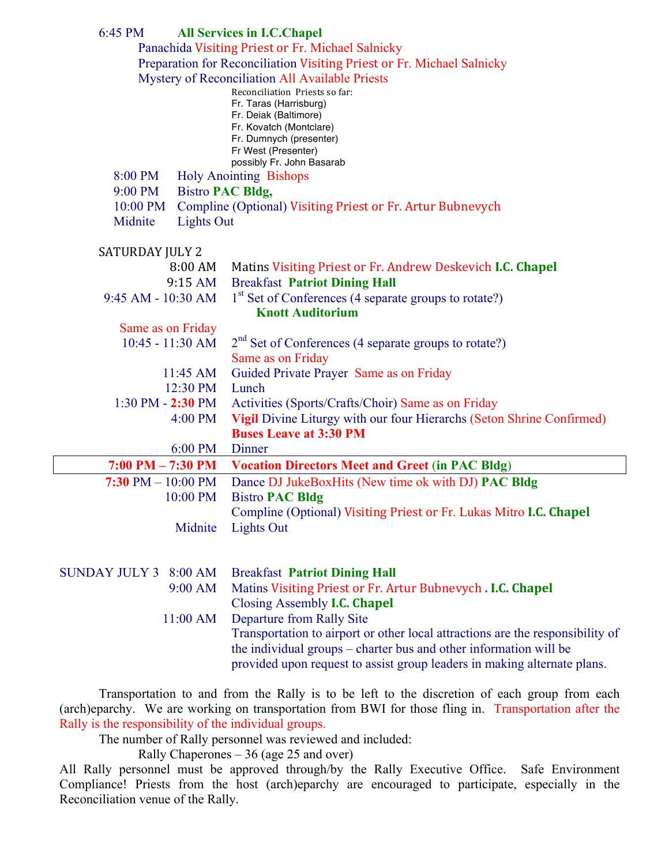| 6:45 PM                            | <b>All Services in I.C.Chapel</b><br>Panachida Visiting Priest or Fr. Michael Salnicky<br>Preparation for Reconciliation Visiting Priest or Fr. Michael Salnicky<br>Mystery of Reconciliation All Available Priests<br>Reconciliation Priests so far:<br>Fr. Taras (Harrisburg)<br>Fr. Deiak (Baltimore)<br>Fr. Kovatch (Montclare) |
|------------------------------------|-------------------------------------------------------------------------------------------------------------------------------------------------------------------------------------------------------------------------------------------------------------------------------------------------------------------------------------|
|                                    | Fr. Dumnych (presenter)<br>Fr West (Presenter)                                                                                                                                                                                                                                                                                      |
|                                    | possibly Fr. John Basarab                                                                                                                                                                                                                                                                                                           |
| 8:00 PM                            | <b>Holy Anointing Bishops</b>                                                                                                                                                                                                                                                                                                       |
| 9:00 PM<br><b>Bistro PAC Bldg,</b> |                                                                                                                                                                                                                                                                                                                                     |
| 10:00 PM                           | Compline (Optional) Visiting Priest or Fr. Artur Bubnevych                                                                                                                                                                                                                                                                          |
| Midnite<br><b>Lights Out</b>       |                                                                                                                                                                                                                                                                                                                                     |
| <b>SATURDAY JULY 2</b>             |                                                                                                                                                                                                                                                                                                                                     |
| $8:00 \text{ AM}$                  | Matins Visiting Priest or Fr. Andrew Deskevich I.C. Chapel                                                                                                                                                                                                                                                                          |
| 9:15 AM                            | <b>Breakfast Patriot Dining Hall</b>                                                                                                                                                                                                                                                                                                |
| 9:45 AM - 10:30 AM                 | 1 <sup>st</sup> Set of Conferences (4 separate groups to rotate?)                                                                                                                                                                                                                                                                   |
|                                    | <b>Knott Auditorium</b>                                                                                                                                                                                                                                                                                                             |
| Same as on Friday                  |                                                                                                                                                                                                                                                                                                                                     |
| $10:45 - 11:30$ AM                 | $2nd$ Set of Conferences (4 separate groups to rotate?)                                                                                                                                                                                                                                                                             |
|                                    | Same as on Friday                                                                                                                                                                                                                                                                                                                   |
| $11:45$ AM                         | Guided Private Prayer Same as on Friday                                                                                                                                                                                                                                                                                             |
| 12:30 PM                           | Lunch                                                                                                                                                                                                                                                                                                                               |
| $1:30$ PM $- 2:30$ PM              | Activities (Sports/Crafts/Choir) Same as on Friday                                                                                                                                                                                                                                                                                  |
| 4:00 PM                            | Vigil Divine Liturgy with our four Hierarchs (Seton Shrine Confirmed)                                                                                                                                                                                                                                                               |
|                                    | <b>Buses Leave at 3:30 PM</b>                                                                                                                                                                                                                                                                                                       |
| 6:00 PM                            | Dinner                                                                                                                                                                                                                                                                                                                              |
| $7:00$ PM $- 7:30$ PM              | <b>Vocation Directors Meet and Greet (in PAC Bldg)</b>                                                                                                                                                                                                                                                                              |
| 7:30 PM $- 10:00$ PM               | Dance DJ JukeBoxHits (New time ok with DJ) PAC Bldg                                                                                                                                                                                                                                                                                 |
| 10:00 PM                           | <b>Bistro PAC Bldg</b>                                                                                                                                                                                                                                                                                                              |
|                                    | Compline (Optional) Visiting Priest or Fr. Lukas Mitro I.C. Chapel                                                                                                                                                                                                                                                                  |
| Midnite                            | <b>Lights Out</b>                                                                                                                                                                                                                                                                                                                   |
|                                    |                                                                                                                                                                                                                                                                                                                                     |
| SUNDAY JULY 3 8:00 AM              | <b>Breakfast Patriot Dining Hall</b>                                                                                                                                                                                                                                                                                                |
| 9:00 AM                            | Matins Visiting Priest or Fr. Artur Bubnevych. I.C. Chapel                                                                                                                                                                                                                                                                          |
|                                    | Closing Assembly <b>I.C. Chapel</b>                                                                                                                                                                                                                                                                                                 |
| 11:00 AM                           | Departure from Rally Site                                                                                                                                                                                                                                                                                                           |
|                                    | Transportation to airport or other local attractions are the responsibility of<br>the individual groups – charter bus and other information will be<br>provided upon request to assist group leaders in making alternate plans.                                                                                                     |

Transportation to and from the Rally is to be left to the discretion of each group from each (arch)eparchy. We are working on transportation from BWI for those fling in. Transportation after the Rally is the responsibility of the individual groups.

The number of Rally personnel was reviewed and included:

Rally Chaperones – 36 (age 25 and over)

All Rally personnel must be approved through/by the Rally Executive Office. Safe Environment Compliance! Priests from the host (arch)eparchy are encouraged to participate, especially in the Reconciliation venue of the Rally.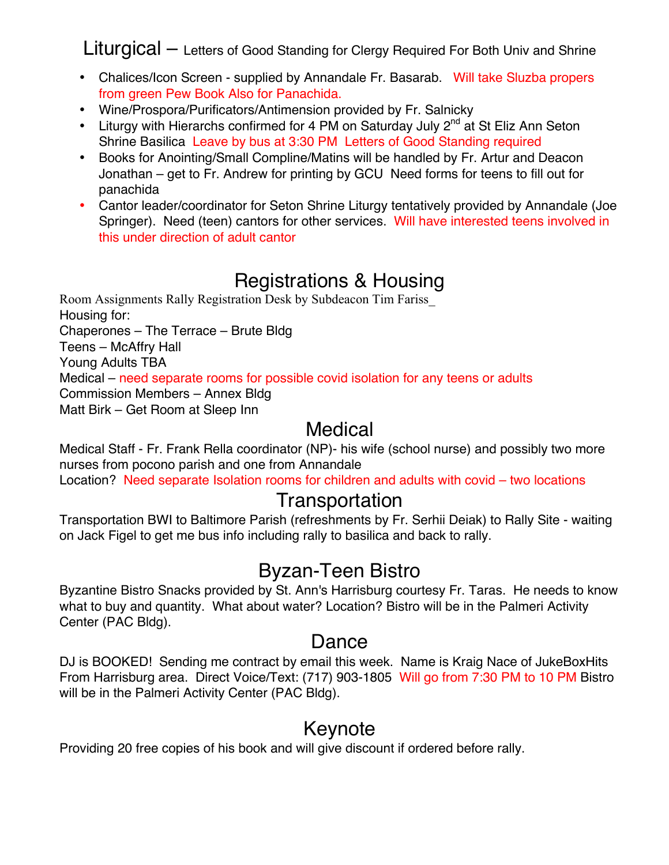Liturgical – Letters of Good Standing for Clergy Required For Both Univ and Shrine

- Chalices/Icon Screen supplied by Annandale Fr. Basarab. Will take Sluzba propers from green Pew Book Also for Panachida.
- Wine/Prospora/Purificators/Antimension provided by Fr. Salnicky
- Liturgy with Hierarchs confirmed for 4 PM on Saturday July  $2^{nd}$  at St Eliz Ann Seton Shrine Basilica Leave by bus at 3:30 PM Letters of Good Standing required
- Books for Anointing/Small Compline/Matins will be handled by Fr. Artur and Deacon Jonathan – get to Fr. Andrew for printing by GCU Need forms for teens to fill out for panachida
- Cantor leader/coordinator for Seton Shrine Liturgy tentatively provided by Annandale (Joe Springer). Need (teen) cantors for other services. Will have interested teens involved in this under direction of adult cantor

## Registrations & Housing

Room Assignments Rally Registration Desk by Subdeacon Tim Fariss\_ Housing for: Chaperones – The Terrace – Brute Bldg Teens – McAffry Hall Young Adults TBA Medical – need separate rooms for possible covid isolation for any teens or adults Commission Members – Annex Bldg Matt Birk – Get Room at Sleep Inn

#### Medical

Medical Staff - Fr. Frank Rella coordinator (NP)- his wife (school nurse) and possibly two more nurses from pocono parish and one from Annandale

Location? Need separate Isolation rooms for children and adults with covid – two locations

#### **Transportation**

Transportation BWI to Baltimore Parish (refreshments by Fr. Serhii Deiak) to Rally Site - waiting on Jack Figel to get me bus info including rally to basilica and back to rally.

# Byzan-Teen Bistro

Byzantine Bistro Snacks provided by St. Ann's Harrisburg courtesy Fr. Taras. He needs to know what to buy and quantity. What about water? Location? Bistro will be in the Palmeri Activity Center (PAC Bldg).

#### Dance

DJ is BOOKED! Sending me contract by email this week. Name is Kraig Nace of JukeBoxHits From Harrisburg area. Direct Voice/Text: (717) 903-1805 Will go from 7:30 PM to 10 PM Bistro will be in the Palmeri Activity Center (PAC Bldg).

#### Keynote

Providing 20 free copies of his book and will give discount if ordered before rally.